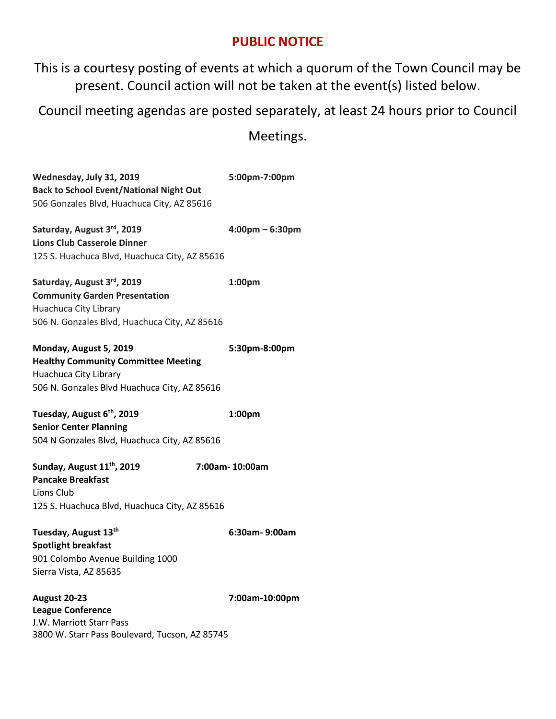## **PUBLIC NOTICE**

This is a courtesy posting of events at which a quorum of the Town Council may be present. Council action will not be taken at the event(s) listed below.

Council meeting agendas are posted separately, at least 24 hours prior to Council

Meetings.

**Wednesday, July 31, 2019 5:00pm-7:00pm Back to School Event/National Night Out** 506 Gonzales Blvd, Huachuca City, AZ 85616 **Saturday, August 3rd, 2019 4:00pm – 6:30pm Lions Club Casserole Dinner** 125 S. Huachuca Blvd, Huachuca City, AZ 85616 **Saturday, August 3rd, 2019 1:00pm Community Garden Presentation** Huachuca City Library 506 N. Gonzales Blvd, Huachuca City, AZ 85616 **Monday, August 5, 2019 5:30pm-8:00pm Healthy Community Committee Meeting** Huachuca City Library 506 N. Gonzales Blvd Huachuca City, AZ 85616 **Tuesday, August 6th, 2019 1:00pm Senior Center Planning** [504 N Gonzales Blvd, Huachuca City, AZ 85616](https://www.bing.com/local?lid=YN67x608217&id=YN67x608217&q=Huachuca+City+Senior+Center&name=Huachuca+City+Senior+Center&cp=31.632369995117188%7e-110.33494567871094&ppois=31.632369995117188_-110.33494567871094_Huachuca+City+Senior+Center&FORM=SNAPST) **Sunday, August 11th, 2019 7:00am- 10:00am Pancake Breakfast** Lions Club 125 S. Huachuca Blvd, Huachuca City, AZ 85616 **Tuesday, August 13th 6:30am- 9:00am Spotlight breakfast** 901 Colombo Avenue Building 1000 Sierra Vista, AZ 85635 **August 20-23 7:00am-10:00pm League Conference**  J.W. Marriott Starr Pass [3800 W. Starr Pass Boulevard, Tucson, AZ 85745](https://www.bing.com/local?lid=YN68x189774182&id=YN68x189774182&q=JW+Marriott+Tucson+Starr+Pass+Resort+%26+Spa&name=JW+Marriott+Tucson+Starr+Pass+Resort+%26+Spa&cp=32.215911865234375%7e-111.05011749267578&ppois=32.215911865234375_-111.05011749267578_JW+Marriott+Tucson+Starr+Pass+Resort+%26+Spa)